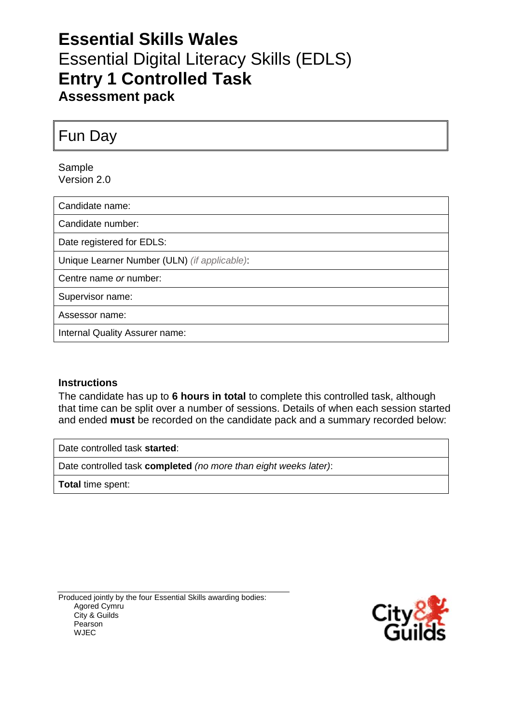# **Essential Skills Wales** Essential Digital Literacy Skills (EDLS) **Entry 1 Controlled Task Assessment pack**

Fun Day

Sample Version 2.0

Candidate name:

Candidate number:

Date registered for EDLS:

Unique Learner Number (ULN) *(if applicable)*:

Centre name *or* number:

Supervisor name:

Assessor name:

Internal Quality Assurer name:

### **Instructions**

The candidate has up to **6 hours in total** to complete this controlled task, although that time can be split over a number of sessions. Details of when each session started and ended **must** be recorded on the candidate pack and a summary recorded below:

Date controlled task **started**:

Date controlled task **completed** *(no more than eight weeks later)*:

**Total** time spent:

Produced jointly by the four Essential Skills awarding bodies: Agored Cymru City & Guilds Pearson WJEC

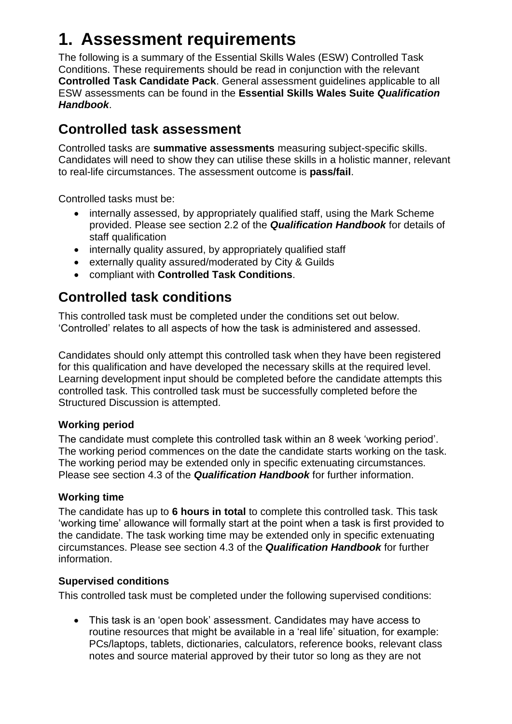# **1. Assessment requirements**

The following is a summary of the Essential Skills Wales (ESW) Controlled Task Conditions. These requirements should be read in conjunction with the relevant **Controlled Task Candidate Pack**. General assessment guidelines applicable to all ESW assessments can be found in the **Essential Skills Wales Suite** *Qualification Handbook*.

# **Controlled task assessment**

Controlled tasks are **summative assessments** measuring subject-specific skills. Candidates will need to show they can utilise these skills in a holistic manner, relevant to real-life circumstances. The assessment outcome is **pass/fail**.

Controlled tasks must be:

- internally assessed, by appropriately qualified staff, using the Mark Scheme provided. Please see section 2.2 of the *Qualification Handbook* for details of staff qualification
- internally quality assured, by appropriately qualified staff
- externally quality assured/moderated by City & Guilds
- compliant with **Controlled Task Conditions**.

# **Controlled task conditions**

This controlled task must be completed under the conditions set out below. 'Controlled' relates to all aspects of how the task is administered and assessed.

Candidates should only attempt this controlled task when they have been registered for this qualification and have developed the necessary skills at the required level. Learning development input should be completed before the candidate attempts this controlled task. This controlled task must be successfully completed before the Structured Discussion is attempted.

## **Working period**

The candidate must complete this controlled task within an 8 week 'working period'. The working period commences on the date the candidate starts working on the task. The working period may be extended only in specific extenuating circumstances. Please see section 4.3 of the *Qualification Handbook* for further information.

### **Working time**

The candidate has up to **6 hours in total** to complete this controlled task. This task 'working time' allowance will formally start at the point when a task is first provided to the candidate. The task working time may be extended only in specific extenuating circumstances. Please see section 4.3 of the *Qualification Handbook* for further information.

### **Supervised conditions**

This controlled task must be completed under the following supervised conditions:

 This task is an 'open book' assessment. Candidates may have access to routine resources that might be available in a 'real life' situation, for example: PCs/laptops, tablets, dictionaries, calculators, reference books, relevant class notes and source material approved by their tutor so long as they are not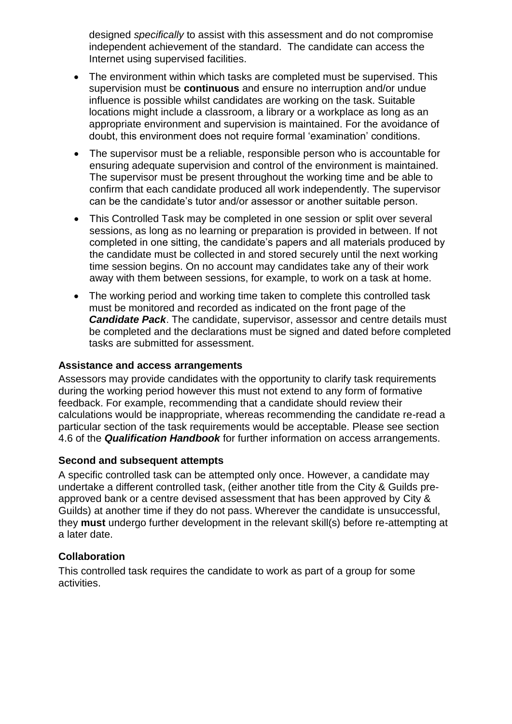designed *specifically* to assist with this assessment and do not compromise independent achievement of the standard. The candidate can access the Internet using supervised facilities.

- The environment within which tasks are completed must be supervised. This supervision must be **continuous** and ensure no interruption and/or undue influence is possible whilst candidates are working on the task. Suitable locations might include a classroom, a library or a workplace as long as an appropriate environment and supervision is maintained. For the avoidance of doubt, this environment does not require formal 'examination' conditions.
- The supervisor must be a reliable, responsible person who is accountable for ensuring adequate supervision and control of the environment is maintained. The supervisor must be present throughout the working time and be able to confirm that each candidate produced all work independently. The supervisor can be the candidate's tutor and/or assessor or another suitable person.
- This Controlled Task may be completed in one session or split over several sessions, as long as no learning or preparation is provided in between. If not completed in one sitting, the candidate's papers and all materials produced by the candidate must be collected in and stored securely until the next working time session begins. On no account may candidates take any of their work away with them between sessions, for example, to work on a task at home.
- The working period and working time taken to complete this controlled task must be monitored and recorded as indicated on the front page of the *Candidate Pack*. The candidate, supervisor, assessor and centre details must be completed and the declarations must be signed and dated before completed tasks are submitted for assessment.

### **Assistance and access arrangements**

Assessors may provide candidates with the opportunity to clarify task requirements during the working period however this must not extend to any form of formative feedback. For example, recommending that a candidate should review their calculations would be inappropriate, whereas recommending the candidate re-read a particular section of the task requirements would be acceptable. Please see section 4.6 of the *Qualification Handbook* for further information on access arrangements.

### **Second and subsequent attempts**

A specific controlled task can be attempted only once. However, a candidate may undertake a different controlled task, (either another title from the City & Guilds preapproved bank or a centre devised assessment that has been approved by City & Guilds) at another time if they do not pass. Wherever the candidate is unsuccessful, they **must** undergo further development in the relevant skill(s) before re-attempting at a later date.

### **Collaboration**

This controlled task requires the candidate to work as part of a group for some activities.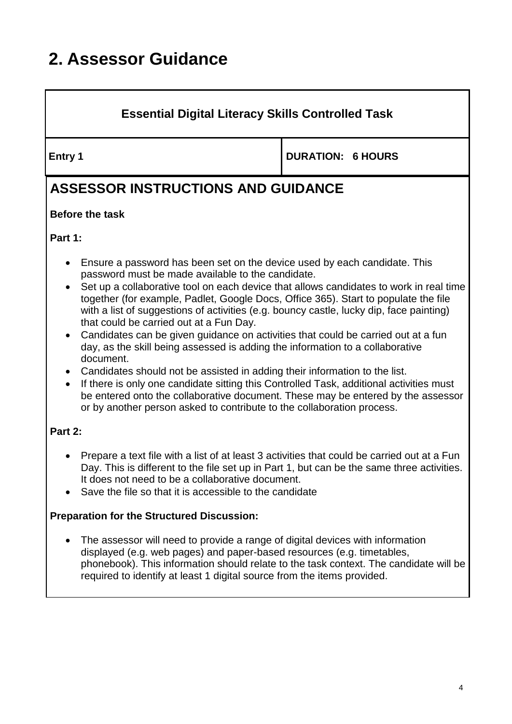# **2. Assessor Guidance**

## **Essential Digital Literacy Skills Controlled Task**

**Entry 1 DURATION: 6 HOURS** 

# **ASSESSOR INSTRUCTIONS AND GUIDANCE**

## **Before the task**

**Part 1:**

- Ensure a password has been set on the device used by each candidate. This password must be made available to the candidate.
- Set up a collaborative tool on each device that allows candidates to work in real time together (for example, Padlet, Google Docs, Office 365). Start to populate the file with a list of suggestions of activities (e.g. bouncy castle, lucky dip, face painting) that could be carried out at a Fun Day.
- Candidates can be given guidance on activities that could be carried out at a fun day, as the skill being assessed is adding the information to a collaborative document.
- Candidates should not be assisted in adding their information to the list.
- If there is only one candidate sitting this Controlled Task, additional activities must be entered onto the collaborative document. These may be entered by the assessor or by another person asked to contribute to the collaboration process.

## **Part 2:**

- Prepare a text file with a list of at least 3 activities that could be carried out at a Fun Day. This is different to the file set up in Part 1, but can be the same three activities. It does not need to be a collaborative document.
- Save the file so that it is accessible to the candidate

## **Preparation for the Structured Discussion:**

 The assessor will need to provide a range of digital devices with information displayed (e.g. web pages) and paper-based resources (e.g. timetables, phonebook). This information should relate to the task context. The candidate will be required to identify at least 1 digital source from the items provided.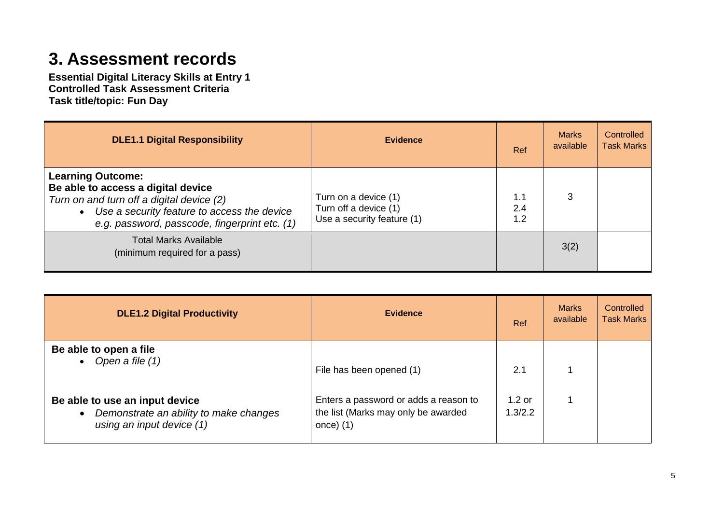# **3. Assessment records**

**Essential Digital Literacy Skills at Entry 1 Controlled Task Assessment Criteria Task title/topic: Fun Day**

| <b>DLE1.1 Digital Responsibility</b>                                                                                                                                                                                     | <b>Evidence</b>                                                             | Ref               | <b>Marks</b><br>available | Controlled<br><b>Task Marks</b> |
|--------------------------------------------------------------------------------------------------------------------------------------------------------------------------------------------------------------------------|-----------------------------------------------------------------------------|-------------------|---------------------------|---------------------------------|
| <b>Learning Outcome:</b><br>Be able to access a digital device<br>Turn on and turn off a digital device (2)<br>Use a security feature to access the device<br>$\bullet$<br>e.g. password, passcode, fingerprint etc. (1) | Turn on a device (1)<br>Turn off a device (1)<br>Use a security feature (1) | 1.1<br>2.4<br>1.2 | 3                         |                                 |
| <b>Total Marks Available</b><br>(minimum required for a pass)                                                                                                                                                            |                                                                             |                   | 3(2)                      |                                 |

| <b>DLE1.2 Digital Productivity</b>                                                                                 | <b>Evidence</b>                                                                             | Ref                 | <b>Marks</b><br>available | Controlled<br><b>Task Marks</b> |
|--------------------------------------------------------------------------------------------------------------------|---------------------------------------------------------------------------------------------|---------------------|---------------------------|---------------------------------|
| Be able to open a file<br>• Open a file $(1)$                                                                      | File has been opened (1)                                                                    | 2.1                 |                           |                                 |
| Be able to use an input device<br>Demonstrate an ability to make changes<br>$\bullet$<br>using an input device (1) | Enters a password or adds a reason to<br>the list (Marks may only be awarded<br>once) $(1)$ | $1.2$ or<br>1.3/2.2 |                           |                                 |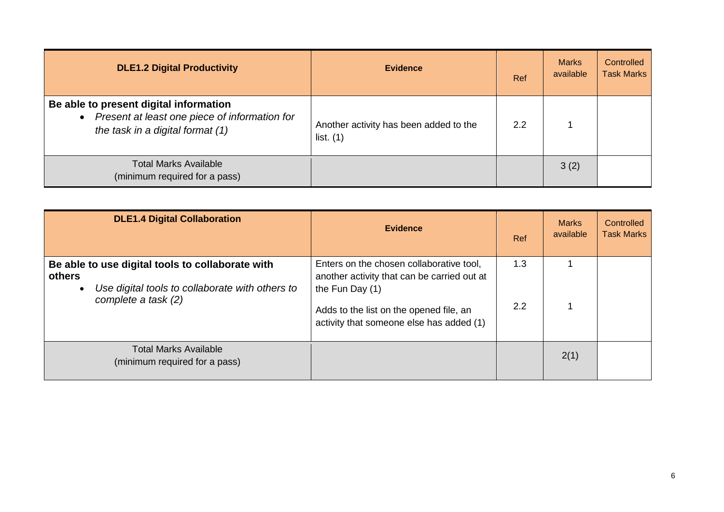| <b>DLE1.2 Digital Productivity</b>                                                                                          | <b>Evidence</b>                                       | Ref | <b>Marks</b><br>available | Controlled<br><b>Task Marks</b> |
|-----------------------------------------------------------------------------------------------------------------------------|-------------------------------------------------------|-----|---------------------------|---------------------------------|
| Be able to present digital information<br>Present at least one piece of information for<br>the task in a digital format (1) | Another activity has been added to the<br>list. $(1)$ | 2.2 |                           |                                 |
| <b>Total Marks Available</b><br>(minimum required for a pass)                                                               |                                                       |     | 3(2)                      |                                 |

| <b>DLE1.4 Digital Collaboration</b>                                                                                                  | <b>Evidence</b>                                                                                                                                                                                   | Ref        | <b>Marks</b><br>available | Controlled<br><b>Task Marks</b> |
|--------------------------------------------------------------------------------------------------------------------------------------|---------------------------------------------------------------------------------------------------------------------------------------------------------------------------------------------------|------------|---------------------------|---------------------------------|
| Be able to use digital tools to collaborate with<br>others<br>Use digital tools to collaborate with others to<br>complete a task (2) | Enters on the chosen collaborative tool,<br>another activity that can be carried out at<br>the Fun Day (1)<br>Adds to the list on the opened file, an<br>activity that someone else has added (1) | 1.3<br>2.2 |                           |                                 |
| <b>Total Marks Available</b><br>(minimum required for a pass)                                                                        |                                                                                                                                                                                                   |            | 2(1)                      |                                 |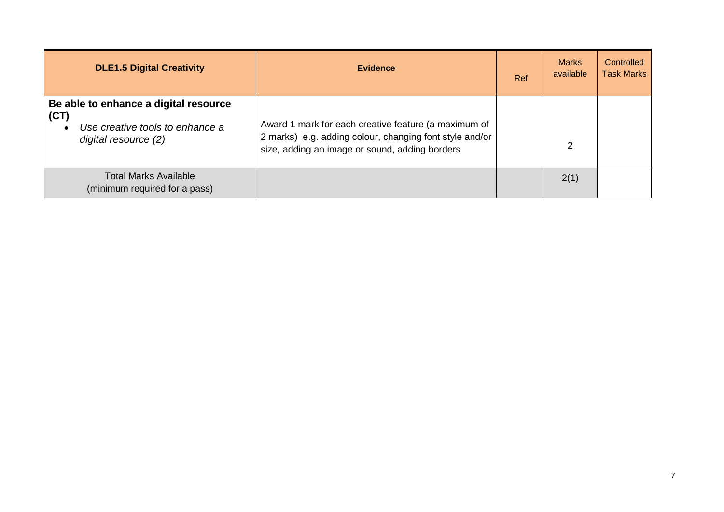| <b>DLE1.5 Digital Creativity</b>                                                                                      | <b>Evidence</b>                                                                                                                                                   | Ref | <b>Marks</b><br>available | Controlled<br><b>Task Marks</b> |
|-----------------------------------------------------------------------------------------------------------------------|-------------------------------------------------------------------------------------------------------------------------------------------------------------------|-----|---------------------------|---------------------------------|
| Be able to enhance a digital resource<br>(CT)<br>Use creative tools to enhance a<br>$\bullet$<br>digital resource (2) | Award 1 mark for each creative feature (a maximum of<br>2 marks) e.g. adding colour, changing font style and/or<br>size, adding an image or sound, adding borders |     | 2                         |                                 |
| Total Marks Available<br>(minimum required for a pass)                                                                |                                                                                                                                                                   |     | 2(1)                      |                                 |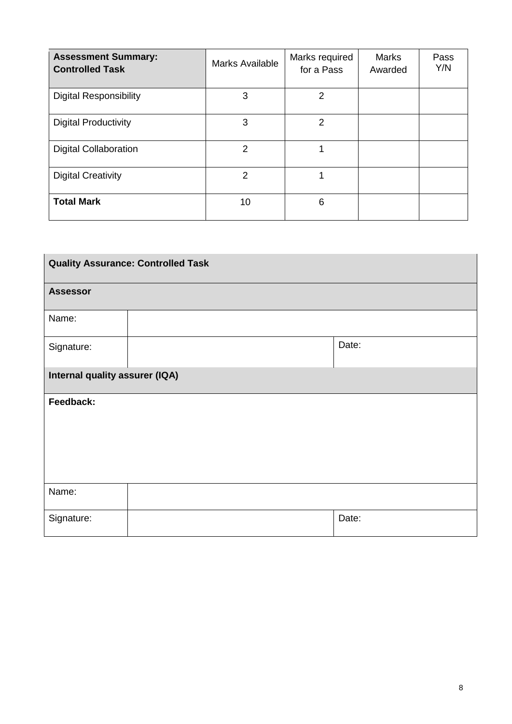| <b>Assessment Summary:</b><br><b>Controlled Task</b> | <b>Marks Available</b> | Marks required<br>for a Pass | <b>Marks</b><br>Awarded | Pass<br>Y/N |
|------------------------------------------------------|------------------------|------------------------------|-------------------------|-------------|
| <b>Digital Responsibility</b>                        | 3                      | $\overline{2}$               |                         |             |
| <b>Digital Productivity</b>                          | 3                      | 2                            |                         |             |
| <b>Digital Collaboration</b>                         | $\overline{2}$         | 1                            |                         |             |
| <b>Digital Creativity</b>                            | $\overline{2}$         |                              |                         |             |
| <b>Total Mark</b>                                    | 10                     | 6                            |                         |             |

| <b>Quality Assurance: Controlled Task</b> |  |       |  |
|-------------------------------------------|--|-------|--|
| <b>Assessor</b>                           |  |       |  |
| Name:                                     |  |       |  |
| Signature:                                |  | Date: |  |
| Internal quality assurer (IQA)            |  |       |  |
| Feedback:                                 |  |       |  |
|                                           |  |       |  |
|                                           |  |       |  |
|                                           |  |       |  |
| Name:                                     |  |       |  |
| Signature:                                |  | Date: |  |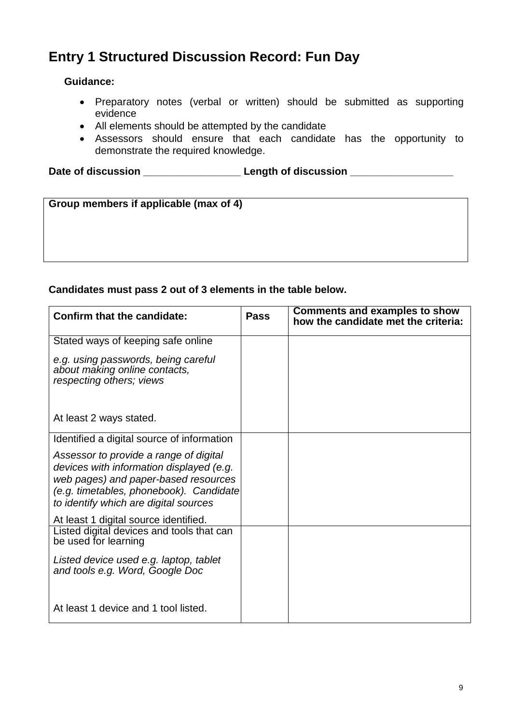# **Entry 1 Structured Discussion Record: Fun Day**

### **Guidance:**

- Preparatory notes (verbal or written) should be submitted as supporting evidence
- All elements should be attempted by the candidate
- Assessors should ensure that each candidate has the opportunity to demonstrate the required knowledge.

Date of discussion \_\_\_\_\_\_\_\_\_\_\_\_\_\_\_\_\_\_\_\_\_\_\_\_\_\_\_Length of discussion \_\_\_\_\_\_\_\_\_\_\_\_\_\_\_

| Group members if applicable (max of 4) |  |
|----------------------------------------|--|
|----------------------------------------|--|

### **Candidates must pass 2 out of 3 elements in the table below.**

| Confirm that the candidate:                                                                                                                                                                                    | Pass | <b>Comments and examples to show</b><br>how the candidate met the criteria: |
|----------------------------------------------------------------------------------------------------------------------------------------------------------------------------------------------------------------|------|-----------------------------------------------------------------------------|
| Stated ways of keeping safe online                                                                                                                                                                             |      |                                                                             |
| e.g. using passwords, being careful<br>about making online contacts,<br>respecting others; views                                                                                                               |      |                                                                             |
| At least 2 ways stated.                                                                                                                                                                                        |      |                                                                             |
| Identified a digital source of information                                                                                                                                                                     |      |                                                                             |
| Assessor to provide a range of digital<br>devices with information displayed (e.g.<br>web pages) and paper-based resources<br>(e.g. timetables, phonebook). Candidate<br>to identify which are digital sources |      |                                                                             |
| At least 1 digital source identified.                                                                                                                                                                          |      |                                                                             |
| Listed digital devices and tools that can<br>be used for learning                                                                                                                                              |      |                                                                             |
| Listed device used e.g. laptop, tablet<br>and tools e.g. Word, Google Doc                                                                                                                                      |      |                                                                             |
| At least 1 device and 1 tool listed.                                                                                                                                                                           |      |                                                                             |